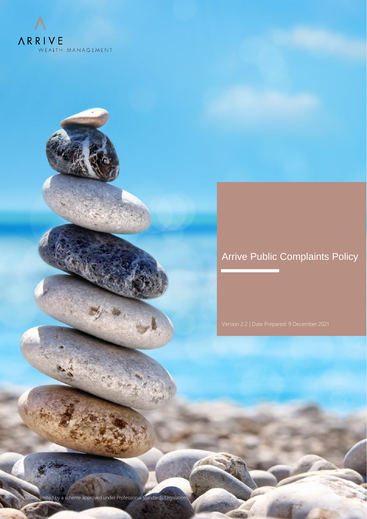

# Arrive Public Complaints Policy

ty limited by a scheme approved under Professional Standards Legislation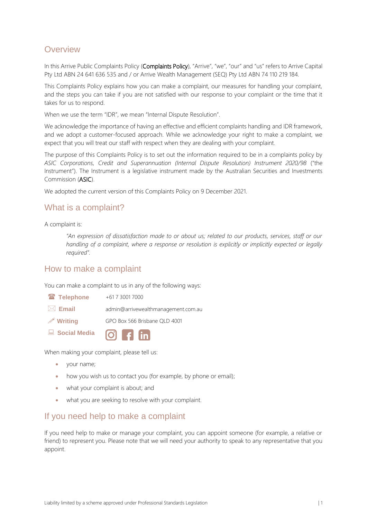# **Overview**

In this Arrive Public Complaints Policy (Complaints Policy), "Arrive", "we", "our" and "us" refers to Arrive Capital Pty Ltd ABN 24 641 636 535 and / or Arrive Wealth Management (SEQ) Pty Ltd ABN 74 110 219 184.

This Complaints Policy explains how you can make a complaint, our measures for handling your complaint, and the steps you can take if you are not satisfied with our response to your complaint or the time that it takes for us to respond.

When we use the term "IDR", we mean "Internal Dispute Resolution".

We acknowledge the importance of having an effective and efficient complaints handling and IDR framework, and we adopt a customer-focused approach. While we acknowledge your right to make a complaint, we expect that you will treat our staff with respect when they are dealing with your complaint.

The purpose of this Complaints Policy is to set out the information required to be in a complaints policy by *ASIC Corporations, Credit and Superannuation (Internal Dispute Resolution) Instrument 2020/98* ("the Instrument"). The Instrument is a legislative instrument made by the Australian Securities and Investments Commission (ASIC).

We adopted the current version of this Complaints Policy on 9 December 2021.

## What is a complaint?

A complaint is:

*"An expression of dissatisfaction made to or about us; related to our products, services, staff or our handling of a complaint, where a response or resolution is explicitly or implicitly expected or legally required".*

### How to make a complaint

You can make a complaint to us in any of the following ways:

| <sup>2</sup> Telephone | +61 7 3001 7000 |
|------------------------|-----------------|
|------------------------|-----------------|

- **Email** admin@arrivewealthmanagement.com.au
- **Writing** GPO Box 566 Brisbane QLD 4001
- **Social Media**

When making your complaint, please tell us:

- your name;
- how you wish us to contact you (for example, by phone or email);
- what your complaint is about; and
- what you are seeking to resolve with your complaint.

### If you need help to make a complaint

If you need help to make or manage your complaint, you can appoint someone (for example, a relative or friend) to represent you. Please note that we will need your authority to speak to any representative that you appoint.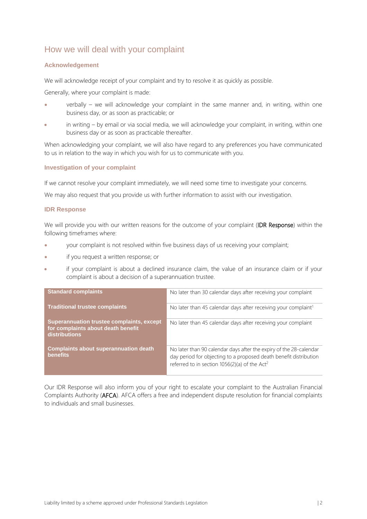# How we will deal with your complaint

#### **Acknowledgement**

We will acknowledge receipt of your complaint and try to resolve it as quickly as possible.

Generally, where your complaint is made:

- verbally we will acknowledge your complaint in the same manner and, in writing, within one business day, or as soon as practicable; or
- in writing by email or via social media, we will acknowledge your complaint, in writing, within one business day or as soon as practicable thereafter.

When acknowledging your complaint, we will also have regard to any preferences you have communicated to us in relation to the way in which you wish for us to communicate with you.

#### **Investigation of your complaint**

If we cannot resolve your complaint immediately, we will need some time to investigate your concerns.

We may also request that you provide us with further information to assist with our investigation.

#### **IDR Response**

We will provide you with our written reasons for the outcome of your complaint (IDR Response) within the following timeframes where:

- your complaint is not resolved within five business days of us receiving your complaint;
- if you request a written response; or
- if your complaint is about a declined insurance claim, the value of an insurance claim or if your complaint is about a decision of a superannuation trustee.

| <b>Standard complaints</b>                                                                              | No later than 30 calendar days after receiving your complaint                                                                                                                                        |
|---------------------------------------------------------------------------------------------------------|------------------------------------------------------------------------------------------------------------------------------------------------------------------------------------------------------|
| <b>Traditional trustee complaints</b>                                                                   | No later than 45 calendar days after receiving your complaint <sup>1</sup>                                                                                                                           |
| Superannuation trustee complaints, except<br>for complaints about death benefit<br><b>distributions</b> | No later than 45 calendar days after receiving your complaint                                                                                                                                        |
| <b>Complaints about superannuation death</b><br>benefits                                                | No later than 90 calendar days after the expiry of the 28-calendar<br>day period for objecting to a proposed death benefit distribution<br>referred to in section 1056(2)(a) of the Act <sup>2</sup> |

Our IDR Response will also inform you of your right to escalate your complaint to the Australian Financial Complaints Authority (AFCA). AFCA offers a free and independent dispute resolution for financial complaints to individuals and small businesses.